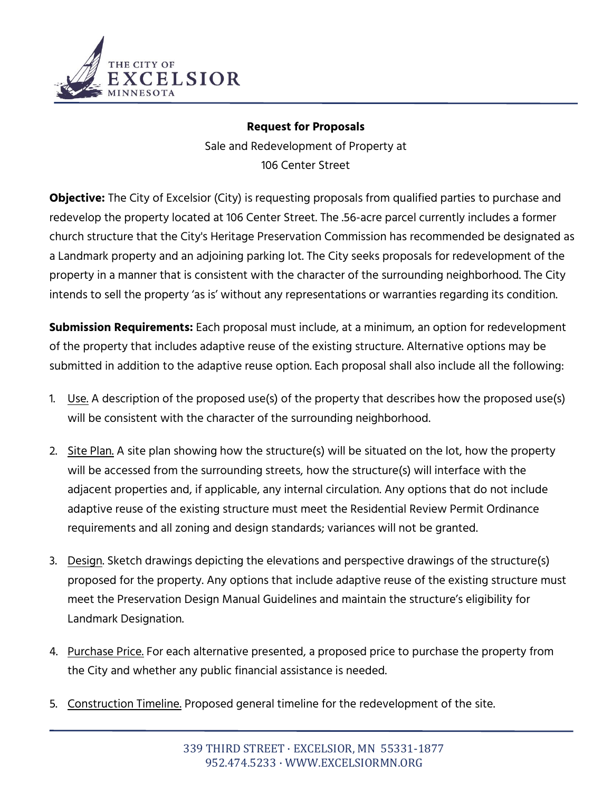

## **Request for Proposals**

Sale and Redevelopment of Property at 106 Center Street

**Objective:** The City of Excelsior (City) is requesting proposals from qualified parties to purchase and redevelop the property located at 106 Center Street. The .56-acre parcel currently includes a former church structure that the City's Heritage Preservation Commission has recommended be designated as a Landmark property and an adjoining parking lot. The City seeks proposals for redevelopment of the property in a manner that is consistent with the character of the surrounding neighborhood. The City intends to sell the property 'as is' without any representations or warranties regarding its condition.

**Submission Requirements:** Each proposal must include, at a minimum, an option for redevelopment of the property that includes adaptive reuse of the existing structure. Alternative options may be submitted in addition to the adaptive reuse option. Each proposal shall also include all the following:

- 1. Use. A description of the proposed use(s) of the property that describes how the proposed use(s) will be consistent with the character of the surrounding neighborhood.
- 2. Site Plan. A site plan showing how the structure(s) will be situated on the lot, how the property will be accessed from the surrounding streets, how the structure(s) will interface with the adjacent properties and, if applicable, any internal circulation. Any options that do not include adaptive reuse of the existing structure must meet the Residential Review Permit Ordinance requirements and all zoning and design standards; variances will not be granted.
- 3. Design. Sketch drawings depicting the elevations and perspective drawings of the structure(s) proposed for the property. Any options that include adaptive reuse of the existing structure must meet the Preservation Design Manual Guidelines and maintain the structure's eligibility for Landmark Designation.
- 4. Purchase Price. For each alternative presented, a proposed price to purchase the property from the City and whether any public financial assistance is needed.
- 5. Construction Timeline. Proposed general timeline for the redevelopment of the site.